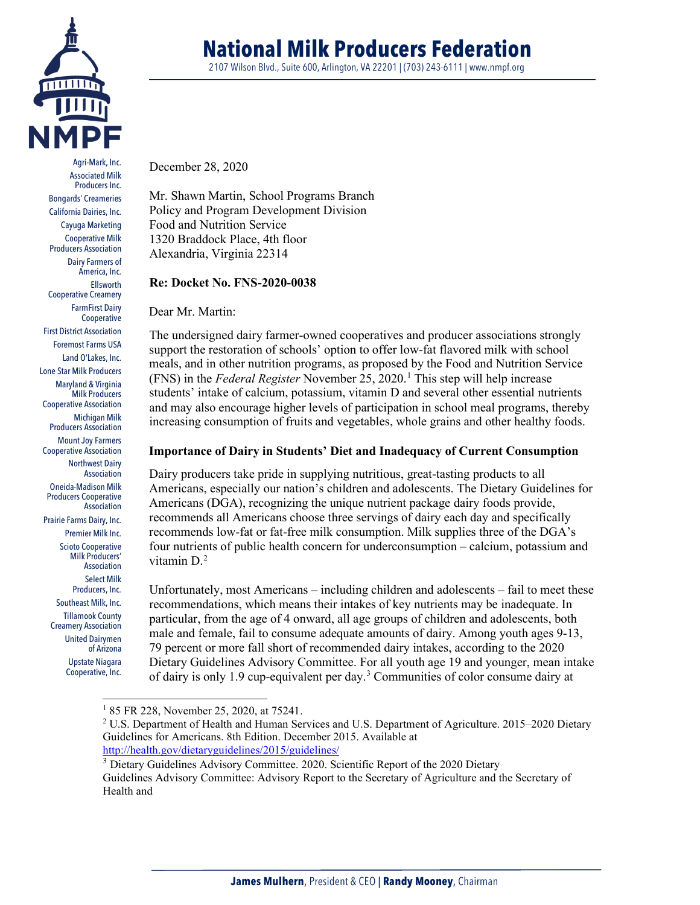

Agri-Mark, Inc. Associated Milk Producers Inc. Bongards' Creameries California Dairies, Inc. Cayuga Marketing Cooperative Milk Producers Association Dairy Farmers of America, Inc. **Ellsworth** Cooperative Creamery FarmFirst Dairy Cooperative First District Association Foremost Farms USA Land O'Lakes, Inc. Lone Star Milk Producers Maryland & Virginia Milk Producers Cooperative Association Michigan Milk Producers Association Mount Joy Farmers Cooperative Association Northwest Dairy Association Oneida-Madison Milk Producers Cooperative Association Prairie Farms Dairy, Inc. Premier Milk Inc. Scioto Cooperative Milk Producers' Association Select Milk Producers, Inc. Southeast Milk, Inc. Tillamook County Creamery Association

<span id="page-0-0"></span>United Dairymen of Arizona Upstate Niagara Cooperative, Inc.

December 28, 2020

Mr. Shawn Martin, School Programs Branch Policy and Program Development Division Food and Nutrition Service 1320 Braddock Place, 4th floor Alexandria, Virginia 22314

## **Re: Docket No. FNS-2020-0038**

Dear Mr. Martin:

The undersigned dairy farmer-owned cooperatives and producer associations strongly support the restoration of schools' option to offer low-fat flavored milk with school meals, and in other nutrition programs, as proposed by the Food and Nutrition Service (FNS) in the *Federal Register* November 25, 2020.<sup>[1](#page-0-0)</sup> This step will help increase students' intake of calcium, potassium, vitamin D and several other essential nutrients and may also encourage higher levels of participation in school meal programs, thereby increasing consumption of fruits and vegetables, whole grains and other healthy foods.

# **Importance of Dairy in Students' Diet and Inadequacy of Current Consumption**

Dairy producers take pride in supplying nutritious, great-tasting products to all Americans, especially our nation's children and adolescents. The Dietary Guidelines for Americans (DGA), recognizing the unique nutrient package dairy foods provide, recommends all Americans choose three servings of dairy each day and specifically recommends low-fat or fat-free milk consumption. Milk supplies three of the DGA's four nutrients of public health concern for underconsumption – calcium, potassium and vitamin D.<sup>[2](#page-0-1)</sup>

Unfortunately, most Americans – including children and adolescents – fail to meet these recommendations, which means their intakes of key nutrients may be inadequate. In particular, from the age of 4 onward, all age groups of children and adolescents, both male and female, fail to consume adequate amounts of dairy. Among youth ages 9-13, 79 percent or more fall short of recommended dairy intakes, according to the 2020 Dietary Guidelines Advisory Committee. For all youth age 19 and younger, mean intake of dairy is only 1.9 cup-equivalent per day.<sup>[3](#page-0-2)</sup> Communities of color consume dairy at

<sup>&</sup>lt;sup>1</sup> 85 FR 228, November 25, 2020, at 75241.

<span id="page-0-1"></span><sup>&</sup>lt;sup>2</sup> U.S. Department of Health and Human Services and U.S. Department of Agriculture. 2015–2020 Dietary Guidelines for Americans. 8th Edition. December 2015. Available at <http://health.gov/dietaryguidelines/2015/guidelines/>

<span id="page-0-2"></span> $3$  Dietary Guidelines Advisory Committee. 2020. Scientific Report of the 2020 Dietary

Guidelines Advisory Committee: Advisory Report to the Secretary of Agriculture and the Secretary of Health and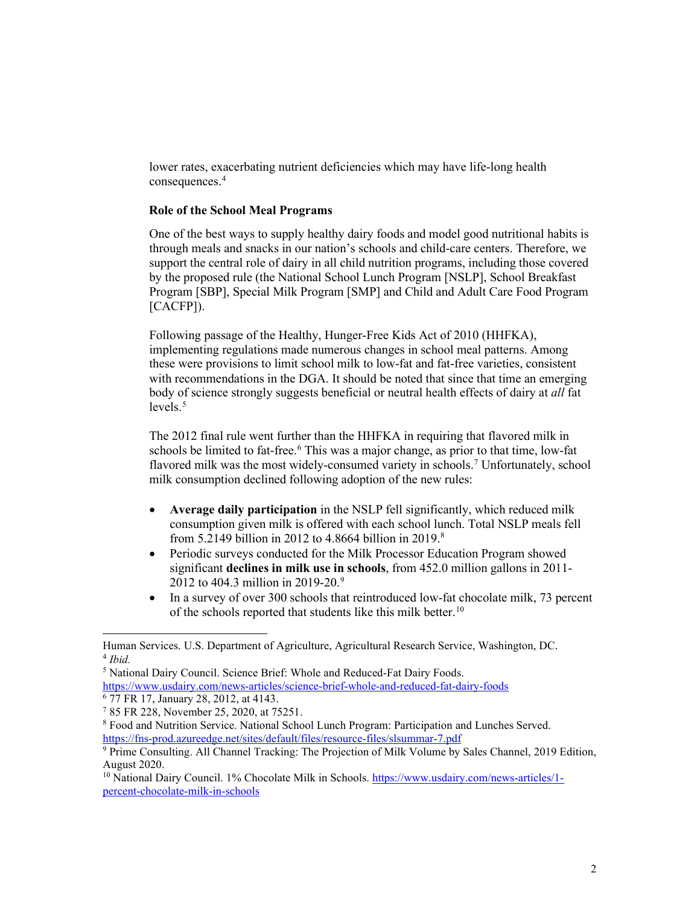lower rates, exacerbating nutrient deficiencies which may have life-long health consequences.<sup>[4](#page-1-0)</sup>

#### **Role of the School Meal Programs**

One of the best ways to supply healthy dairy foods and model good nutritional habits is through meals and snacks in our nation's schools and child-care centers. Therefore, we support the central role of dairy in all child nutrition programs, including those covered by the proposed rule (the National School Lunch Program [NSLP], School Breakfast Program [SBP], Special Milk Program [SMP] and Child and Adult Care Food Program [CACFP]).

Following passage of the Healthy, Hunger-Free Kids Act of 2010 (HHFKA), implementing regulations made numerous changes in school meal patterns. Among these were provisions to limit school milk to low-fat and fat-free varieties, consistent with recommendations in the DGA. It should be noted that since that time an emerging body of science strongly suggests beneficial or neutral health effects of dairy at *all* fat  $levels.<sup>5</sup>$ 

The 2012 final rule went further than the HHFKA in requiring that flavored milk in schools be limited to fat-free.<sup>[6](#page-1-2)</sup> This was a major change, as prior to that time, low-fat flavored milk was the most widely-consumed variety in schools.<sup>[7](#page-1-3)</sup> Unfortunately, school milk consumption declined following adoption of the new rules:

- **Average daily participation** in the NSLP fell significantly, which reduced milk consumption given milk is offered with each school lunch. Total NSLP meals fell from 5.2149 billion in 2012 to 4.8664 billion in 2019.[8](#page-1-4)
- Periodic surveys conducted for the Milk Processor Education Program showed significant **declines in milk use in schools**, from 452.0 million gallons in 2011- 2012 to 404.3 million in 201[9](#page-1-5)-20.<sup>9</sup>
- In a survey of over 300 schools that reintroduced low-fat chocolate milk, 73 percent of the schools reported that students like this milk better.<sup>[10](#page-1-6)</sup>

Human Services. U.S. Department of Agriculture, Agricultural Research Service, Washington, DC. <sup>4</sup> *Ibid.*

<span id="page-1-1"></span><span id="page-1-0"></span><sup>5</sup> National Dairy Council. Science Brief: Whole and Reduced-Fat Dairy Foods. <https://www.usdairy.com/news-articles/science-brief-whole-and-reduced-fat-dairy-foods> <sup>6</sup> 77 FR 17, January 28, 2012, at 4143.

<span id="page-1-3"></span><span id="page-1-2"></span><sup>&</sup>lt;sup>7</sup> 85 FR 228, November 25, 2020, at 75251.

<span id="page-1-4"></span><sup>8</sup> Food and Nutrition Service. National School Lunch Program: Participation and Lunches Served. <https://fns-prod.azureedge.net/sites/default/files/resource-files/slsummar-7.pdf>

<span id="page-1-5"></span><sup>9</sup> Prime Consulting. All Channel Tracking: The Projection of Milk Volume by Sales Channel, 2019 Edition, August 2020.

<span id="page-1-6"></span><sup>&</sup>lt;sup>10</sup> National Dairy Council. 1% Chocolate Milk in Schools[. https://www.usdairy.com/news-articles/1](https://www.usdairy.com/news-articles/1-percent-chocolate-milk-in-schools) [percent-chocolate-milk-in-schools](https://www.usdairy.com/news-articles/1-percent-chocolate-milk-in-schools)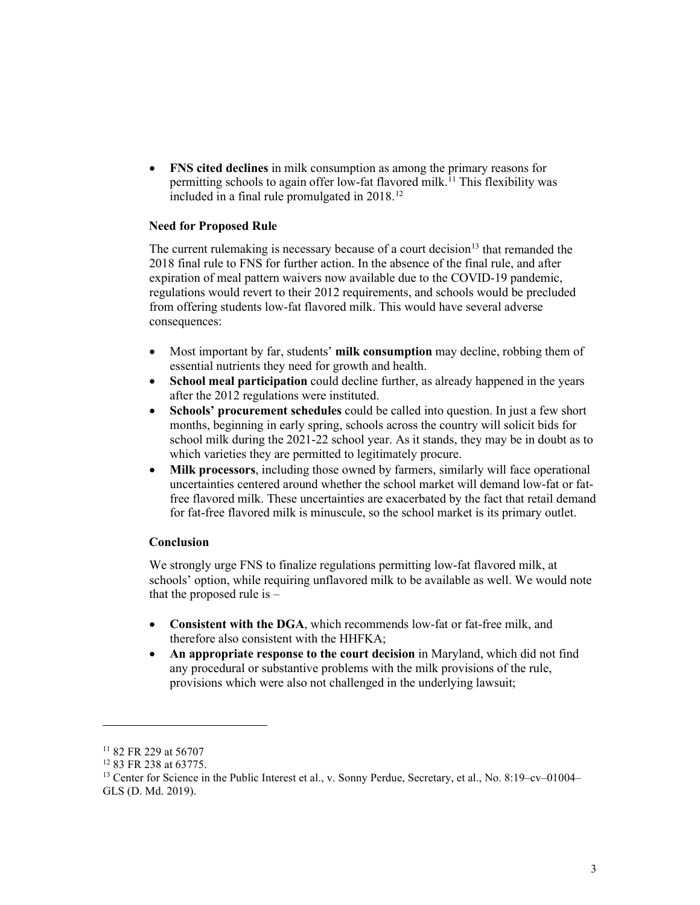• **FNS cited declines** in milk consumption as among the primary reasons for permitting schools to again offer low-fat flavored milk.<sup>[11](#page-2-0)</sup> This flexibility was included in a final rule promulgated in  $2018$ <sup>[12](#page-2-1)</sup>

### **Need for Proposed Rule**

The current rulemaking is necessary because of a court decision<sup>13</sup> that remanded the 2018 final rule to FNS for further action. In the absence of the final rule, and after expiration of meal pattern waivers now available due to the COVID-19 pandemic, regulations would revert to their 2012 requirements, and schools would be precluded from offering students low-fat flavored milk. This would have several adverse consequences:

- Most important by far, students' **milk consumption** may decline, robbing them of essential nutrients they need for growth and health.
- **School meal participation** could decline further, as already happened in the years after the 2012 regulations were instituted.
- **Schools' procurement schedules** could be called into question. In just a few short months, beginning in early spring, schools across the country will solicit bids for school milk during the 2021-22 school year. As it stands, they may be in doubt as to which varieties they are permitted to legitimately procure.
- **Milk processors**, including those owned by farmers, similarly will face operational uncertainties centered around whether the school market will demand low-fat or fatfree flavored milk. These uncertainties are exacerbated by the fact that retail demand for fat-free flavored milk is minuscule, so the school market is its primary outlet.

#### **Conclusion**

We strongly urge FNS to finalize regulations permitting low-fat flavored milk, at schools' option, while requiring unflavored milk to be available as well. We would note that the proposed rule is  $-$ 

- **Consistent with the DGA**, which recommends low-fat or fat-free milk, and therefore also consistent with the HHFKA;
- **An appropriate response to the court decision** in Maryland, which did not find any procedural or substantive problems with the milk provisions of the rule, provisions which were also not challenged in the underlying lawsuit;

<span id="page-2-1"></span><span id="page-2-0"></span><sup>11</sup> 82 FR 229 at 56707

<sup>12</sup> 83 FR 238 at 63775.

<span id="page-2-2"></span><sup>&</sup>lt;sup>13</sup> Center for Science in the Public Interest et al., v. Sonny Perdue, Secretary, et al., No. 8:19–cv–01004– GLS (D. Md. 2019).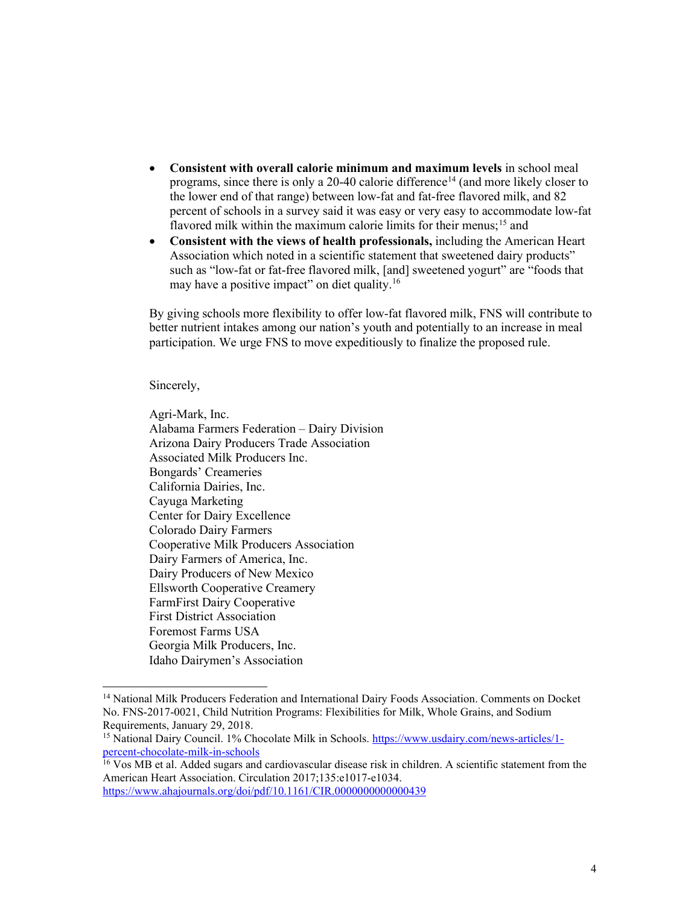- **Consistent with overall calorie minimum and maximum levels** in school meal programs, since there is only a 20-40 calorie difference<sup>[14](#page-3-0)</sup> (and more likely closer to the lower end of that range) between low-fat and fat-free flavored milk, and 82 percent of schools in a survey said it was easy or very easy to accommodate low-fat flavored milk within the maximum calorie limits for their menus;<sup>[15](#page-3-1)</sup> and
- **Consistent with the views of health professionals,** including the American Heart Association which noted in a scientific statement that sweetened dairy products" such as "low-fat or fat-free flavored milk, [and] sweetened yogurt" are "foods that may have a positive impact" on diet quality.[16](#page-3-2)

By giving schools more flexibility to offer low-fat flavored milk, FNS will contribute to better nutrient intakes among our nation's youth and potentially to an increase in meal participation. We urge FNS to move expeditiously to finalize the proposed rule.

Sincerely,

Agri-Mark, Inc. Alabama Farmers Federation – Dairy Division Arizona Dairy Producers Trade Association Associated Milk Producers Inc. Bongards' Creameries California Dairies, Inc. Cayuga Marketing Center for Dairy Excellence Colorado Dairy Farmers Cooperative Milk Producers Association Dairy Farmers of America, Inc. Dairy Producers of New Mexico Ellsworth Cooperative Creamery FarmFirst Dairy Cooperative First District Association Foremost Farms USA Georgia Milk Producers, Inc. Idaho Dairymen's Association

<span id="page-3-0"></span><sup>&</sup>lt;sup>14</sup> National Milk Producers Federation and International Dairy Foods Association. Comments on Docket No. FNS-2017-0021, Child Nutrition Programs: Flexibilities for Milk, Whole Grains, and Sodium Requirements, January 29, 2018.

<span id="page-3-1"></span><sup>15</sup> National Dairy Council. 1% Chocolate Milk in Schools[. https://www.usdairy.com/news-articles/1](https://www.usdairy.com/news-articles/1-percent-chocolate-milk-in-schools) [percent-chocolate-milk-in-schools](https://www.usdairy.com/news-articles/1-percent-chocolate-milk-in-schools)

<span id="page-3-2"></span><sup>&</sup>lt;sup>16</sup> Vos MB et al. Added sugars and cardiovascular disease risk in children. A scientific statement from the American Heart Association. Circulation 2017;135:e1017-e1034. <https://www.ahajournals.org/doi/pdf/10.1161/CIR.0000000000000439>